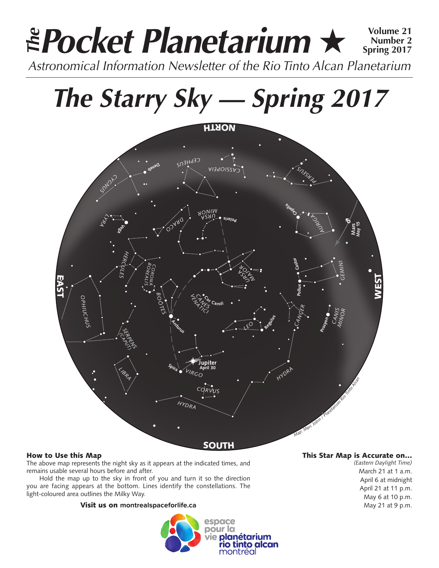# *Pocket Planetarium* ★ **Volume 21** *Astronomical Information Newsletter of the Rio Tinto Alcan Planetarium The* **Number 2 Spring 2017**

# *The Starry Sky — Spring 2017*



## How to Use this Map

The above map represents the night sky as it appears at the indicated times, and remains usable several hours before and after.

Hold the map up to the sky in front of you and turn it so the direction you are facing appears at the bottom. Lines identify the constellations. The light-coloured area outlines the Milky Way.

### Visit us on **montrealspaceforlife.ca**



## This Star Map is Accurate on…

*(Eastern Daylight Time)* March 21 at 1 a.m. April 6 at midnight April 21 at 11 p.m. May 6 at 10 p.m. May 21 at 9 p.m.